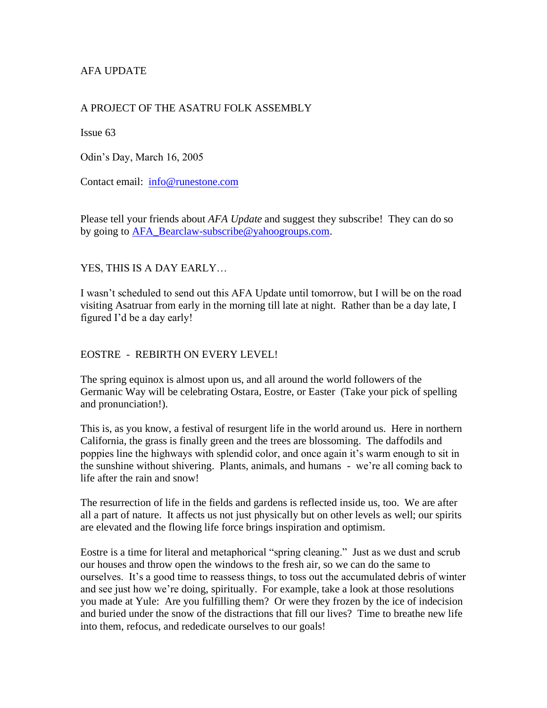# AFA UPDATE

# A PROJECT OF THE ASATRU FOLK ASSEMBLY

Issue 63

Odin's Day, March 16, 2005

Contact email: [info@runestone.com](mailto:info@runestone.com)

Please tell your friends about *AFA Update* and suggest they subscribe! They can do so by going to [AFA\\_Bearclaw-subscribe@yahoogroups.com.](mailto:AFA_Bearclaw-subscribe@yahoogroups.com)

YES, THIS IS A DAY EARLY…

I wasn't scheduled to send out this AFA Update until tomorrow, but I will be on the road visiting Asatruar from early in the morning till late at night. Rather than be a day late, I figured I'd be a day early!

## EOSTRE - REBIRTH ON EVERY LEVEL!

The spring equinox is almost upon us, and all around the world followers of the Germanic Way will be celebrating Ostara, Eostre, or Easter (Take your pick of spelling and pronunciation!).

This is, as you know, a festival of resurgent life in the world around us. Here in northern California, the grass is finally green and the trees are blossoming. The daffodils and poppies line the highways with splendid color, and once again it's warm enough to sit in the sunshine without shivering. Plants, animals, and humans - we're all coming back to life after the rain and snow!

The resurrection of life in the fields and gardens is reflected inside us, too. We are after all a part of nature. It affects us not just physically but on other levels as well; our spirits are elevated and the flowing life force brings inspiration and optimism.

Eostre is a time for literal and metaphorical "spring cleaning." Just as we dust and scrub our houses and throw open the windows to the fresh air, so we can do the same to ourselves. It's a good time to reassess things, to toss out the accumulated debris of winter and see just how we're doing, spiritually. For example, take a look at those resolutions you made at Yule: Are you fulfilling them? Or were they frozen by the ice of indecision and buried under the snow of the distractions that fill our lives? Time to breathe new life into them, refocus, and rededicate ourselves to our goals!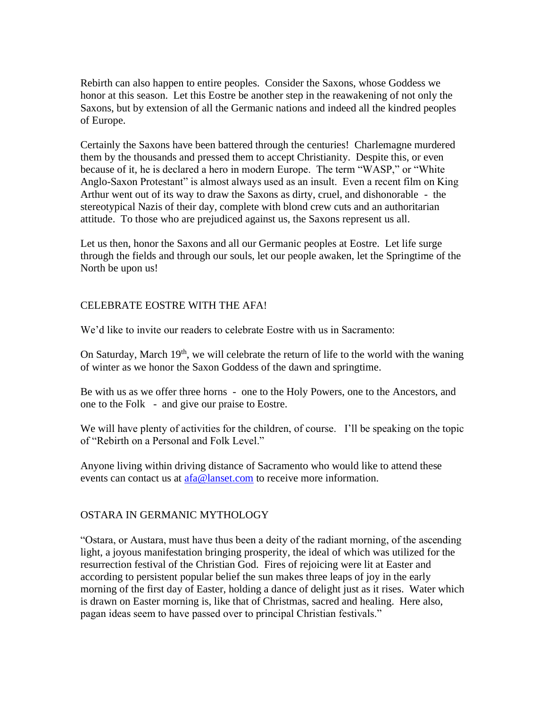Rebirth can also happen to entire peoples. Consider the Saxons, whose Goddess we honor at this season. Let this Eostre be another step in the reawakening of not only the Saxons, but by extension of all the Germanic nations and indeed all the kindred peoples of Europe.

Certainly the Saxons have been battered through the centuries! Charlemagne murdered them by the thousands and pressed them to accept Christianity. Despite this, or even because of it, he is declared a hero in modern Europe. The term "WASP," or "White Anglo-Saxon Protestant" is almost always used as an insult. Even a recent film on King Arthur went out of its way to draw the Saxons as dirty, cruel, and dishonorable - the stereotypical Nazis of their day, complete with blond crew cuts and an authoritarian attitude. To those who are prejudiced against us, the Saxons represent us all.

Let us then, honor the Saxons and all our Germanic peoples at Eostre. Let life surge through the fields and through our souls, let our people awaken, let the Springtime of the North be upon us!

## CELEBRATE EOSTRE WITH THE AFA!

We'd like to invite our readers to celebrate Eostre with us in Sacramento:

On Saturday, March  $19<sup>th</sup>$ , we will celebrate the return of life to the world with the waning of winter as we honor the Saxon Goddess of the dawn and springtime.

Be with us as we offer three horns - one to the Holy Powers, one to the Ancestors, and one to the Folk - and give our praise to Eostre.

We will have plenty of activities for the children, of course. I'll be speaking on the topic of "Rebirth on a Personal and Folk Level."

Anyone living within driving distance of Sacramento who would like to attend these events can contact us at  $afa@lanset.com$  to receive more information.

## OSTARA IN GERMANIC MYTHOLOGY

"Ostara, or Austara, must have thus been a deity of the radiant morning, of the ascending light, a joyous manifestation bringing prosperity, the ideal of which was utilized for the resurrection festival of the Christian God. Fires of rejoicing were lit at Easter and according to persistent popular belief the sun makes three leaps of joy in the early morning of the first day of Easter, holding a dance of delight just as it rises. Water which is drawn on Easter morning is, like that of Christmas, sacred and healing. Here also, pagan ideas seem to have passed over to principal Christian festivals."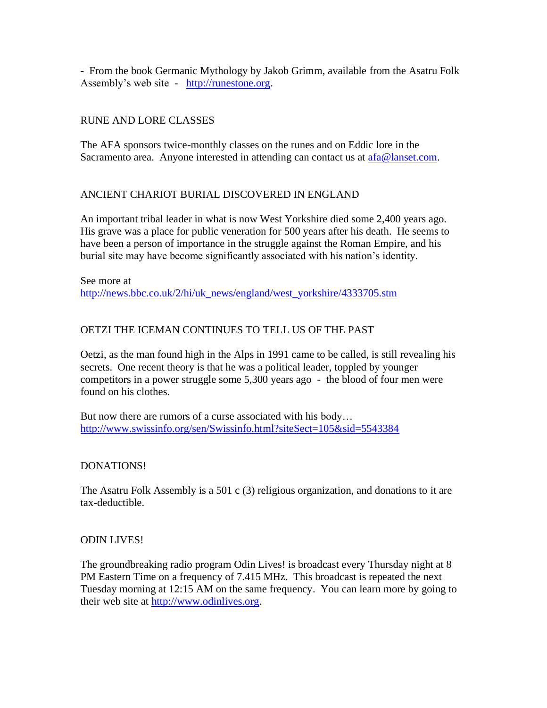- From the book Germanic Mythology by Jakob Grimm, available from the Asatru Folk Assembly's web site - [http://runestone.org.](http://runestone.org/)

# RUNE AND LORE CLASSES

The AFA sponsors twice-monthly classes on the runes and on Eddic lore in the Sacramento area. Anyone interested in attending can contact us at  $afa@lanset.com$ .

# ANCIENT CHARIOT BURIAL DISCOVERED IN ENGLAND

An important tribal leader in what is now West Yorkshire died some 2,400 years ago. His grave was a place for public veneration for 500 years after his death. He seems to have been a person of importance in the struggle against the Roman Empire, and his burial site may have become significantly associated with his nation's identity.

See more at [http://news.bbc.co.uk/2/hi/uk\\_news/england/west\\_yorkshire/4333705.stm](http://news.bbc.co.uk/2/hi/uk_news/england/west_yorkshire/4333705.stm)

# OETZI THE ICEMAN CONTINUES TO TELL US OF THE PAST

Oetzi, as the man found high in the Alps in 1991 came to be called, is still revealing his secrets. One recent theory is that he was a political leader, toppled by younger competitors in a power struggle some 5,300 years ago - the blood of four men were found on his clothes.

But now there are rumors of a curse associated with his body… <http://www.swissinfo.org/sen/Swissinfo.html?siteSect=105&sid=5543384>

## DONATIONS!

The Asatru Folk Assembly is a 501 c (3) religious organization, and donations to it are tax-deductible.

#### ODIN LIVES!

The groundbreaking radio program Odin Lives! is broadcast every Thursday night at 8 PM Eastern Time on a frequency of 7.415 MHz. This broadcast is repeated the next Tuesday morning at 12:15 AM on the same frequency. You can learn more by going to their web site at [http://www.odinlives.org.](http://www.odinlives.org/)